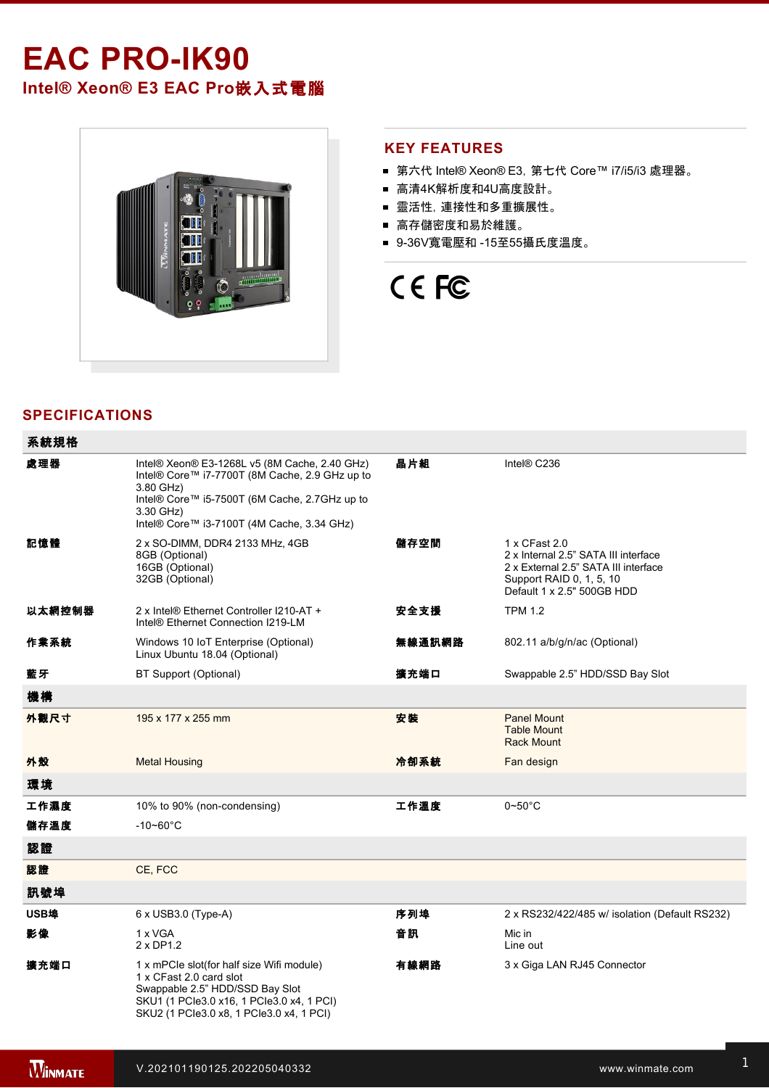## **EAC PRO-IK90 Intel® Xeon® E3 EAC Pro**嵌入式電腦



#### **KEY FEATURES**

- 第六代 Intel® Xeon® E3, 第七代 Core™ i7/i5/i3 處理器。
- 高清4K解析度和4U高度設計。
- 靈活性,連接性和多重擴展性。
- 高存儲密度和易於維護。
- 9-36V寬電壓和 -15至55攝氏度溫度。

# CE FC

### **SPECIFICATIONS**

| 系統規格   |                                                                                                                                                                                                                          |        |                                                                                                                                                         |  |
|--------|--------------------------------------------------------------------------------------------------------------------------------------------------------------------------------------------------------------------------|--------|---------------------------------------------------------------------------------------------------------------------------------------------------------|--|
| 處理器    | Intel® Xeon® E3-1268L v5 (8M Cache, 2.40 GHz)<br>Intel® Core™ i7-7700T (8M Cache, 2.9 GHz up to<br>3.80 GHz)<br>Intel® Core™ i5-7500T (6M Cache, 2.7GHz up to<br>3.30 GHz)<br>Intel® Core™ i3-7100T (4M Cache, 3.34 GHz) | 晶片組    | Intel® C236                                                                                                                                             |  |
| 記憶體    | 2 x SO-DIMM, DDR4 2133 MHz, 4GB<br>8GB (Optional)<br>16GB (Optional)<br>32GB (Optional)                                                                                                                                  | 儲存空間   | 1 x CFast 2.0<br>2 x Internal 2.5" SATA III interface<br>2 x External 2.5" SATA III interface<br>Support RAID 0, 1, 5, 10<br>Default 1 x 2.5" 500GB HDD |  |
| 以太網控制器 | 2 x Intel® Ethernet Controller I210-AT +<br>Intel® Ethernet Connection I219-LM                                                                                                                                           | 安全支援   | <b>TPM 1.2</b>                                                                                                                                          |  |
| 作業系統   | Windows 10 IoT Enterprise (Optional)<br>Linux Ubuntu 18.04 (Optional)                                                                                                                                                    | 無線通訊網路 | 802.11 a/b/g/n/ac (Optional)                                                                                                                            |  |
| 藍牙     | BT Support (Optional)                                                                                                                                                                                                    | 擴充端口   | Swappable 2.5" HDD/SSD Bay Slot                                                                                                                         |  |
| 機構     |                                                                                                                                                                                                                          |        |                                                                                                                                                         |  |
| 外觀尺寸   | 195 x 177 x 255 mm                                                                                                                                                                                                       | 安装     | <b>Panel Mount</b><br><b>Table Mount</b><br><b>Rack Mount</b>                                                                                           |  |
| 外殼     | <b>Metal Housing</b>                                                                                                                                                                                                     | 冷卻系統   | Fan design                                                                                                                                              |  |
| 環境     |                                                                                                                                                                                                                          |        |                                                                                                                                                         |  |
| 工作濕度   | 10% to 90% (non-condensing)                                                                                                                                                                                              | 工作溫度   | $0\negthinspace$ -50 $^{\circ}$ C                                                                                                                       |  |
| 儲存溫度   | $-10 - 60^{\circ}$ C                                                                                                                                                                                                     |        |                                                                                                                                                         |  |
| 認證     |                                                                                                                                                                                                                          |        |                                                                                                                                                         |  |
| 認證     | CE, FCC                                                                                                                                                                                                                  |        |                                                                                                                                                         |  |
| 訊號埠    |                                                                                                                                                                                                                          |        |                                                                                                                                                         |  |
| USB埠   | 6 x USB3.0 (Type-A)                                                                                                                                                                                                      | 序列埠    | 2 x RS232/422/485 w/ isolation (Default RS232)                                                                                                          |  |
| 影像     | 1 x VGA<br>$2 \times DP1.2$                                                                                                                                                                                              | 音訊     | Mic in<br>Line out                                                                                                                                      |  |
| 擴充端口   | 1 x mPCIe slot(for half size Wifi module)<br>1 x CFast 2.0 card slot<br>Swappable 2.5" HDD/SSD Bay Slot<br>SKU1 (1 PCle3.0 x16, 1 PCle3.0 x4, 1 PCI)<br>SKU2 (1 PCle3.0 x8, 1 PCle3.0 x4, 1 PCI)                         | 有線網路   | 3 x Giga LAN RJ45 Connector                                                                                                                             |  |

8ch dry contact DI0 ~ DI7, 1.5kV Isolation